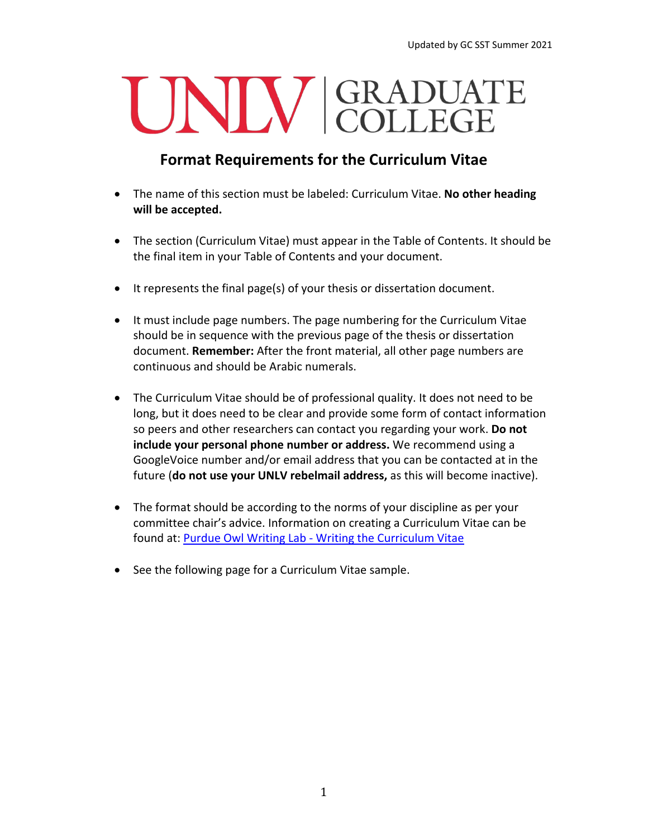## UNIV GRADUATE

## **Format Requirements for the Curriculum Vitae**

- The name of this section must be labeled: Curriculum Vitae. **No other heading will be accepted.**
- The section (Curriculum Vitae) must appear in the Table of Contents. It should be the final item in your Table of Contents and your document.
- It represents the final page(s) of your thesis or dissertation document.
- It must include page numbers. The page numbering for the Curriculum Vitae should be in sequence with the previous page of the thesis or dissertation document. **Remember:** After the front material, all other page numbers are continuous and should be Arabic numerals.
- The Curriculum Vitae should be of professional quality. It does not need to be long, but it does need to be clear and provide some form of contact information so peers and other researchers can contact you regarding your work. **Do not include your personal phone number or address.** We recommend using a GoogleVoice number and/or email address that you can be contacted at in the future (**do not use your UNLV rebelmail address,** as this will become inactive).
- The format should be according to the norms of your discipline as per your committee chair's advice. Information on creating a Curriculum Vitae can be found at: Purdue Owl Writing Lab - [Writing the Curriculum Vitae](https://owl.purdue.edu/owl/job_search_writing/resumes_and_vitas/writing_the_cv.html)
- See the following page for a Curriculum Vitae sample.